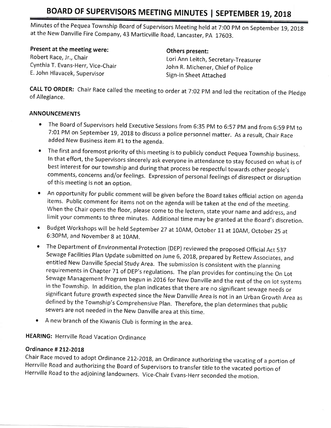Minutes of the Pequea Township Board of Supervisors Meeting held at 7:00 PM on September 19, 2018 at the New Danville Fire company, 43 Marticville Road, Lancaster, pA 17603.

#### Present at the meeting were:

Robert Race, Jr., Chair Cynthia T. Evans-Herr, Vice-Chair E, John Hlavacek, Supervisor

#### Others present:

Lori Ann Leitch, Secretary-Treasurer John R. Michener, Chief of police Sign-in Sheet Attached

CALL TO ORDER: Chair Race called the meeting to order at 7:02 PM and led the recitation of the Pledge of Allegiance,

#### ANNOUNCEMENTS

- ' The Board of Supervisors held Executive Sessions from 6:35 pM to 6:57 pM and from 6:59 pM to 7:01 PM on September 19, 2018 to discuss a police personnel matter. As a result, Chair Race added New Business item #1 to the agenda.
- The first and foremost priority of this meeting is to publicly conduct Pequea Township business. In that effort, the supervisors sincerely ask everyone in attendance to stay focused on what is of best interest for our township and during that process be respectful towards other people's comments, concerns and/or feelings, Expression of personal feelings of disrespect or disruption of this meeting is not an option.
- <sup>o</sup>An opportunity for public comment will be given before the Board takes official action on agenda items' Public comment for items not on the agenda will be taken at the end of the mereting. When the Chair opens the floor, please come to the lectern, state your name and address, and limit your comments to three minutes. Additional time may be granted at the Board's discretion.
- Budget Workshops will be held September 27 at 10AM, October 11 at 10AM, October 25 at 6:30PM, and November 8 at 10AM.
- o The Department of Environmental Protection (DEP) reviewed the proposed official Act <sup>537</sup> entitled New Danville Special Study Area. The submission is consistent with the planning requirements in Chapter 71 of DEP's regulations. The plan provides for continuing the On Lot Sewage Management Program begun in 2016 for New Danville and the rest of the on lot systems in the Township. In addition, the plan indicates that there are no significant sewage needs or<br>significant future growth expected since the New Danville Area is not in an Urban Growth Area as defined by the Township's Comprehensive Plan. Therefore, the plan determines that public sewers are not needed in the New Danville area at this time.
- $\bullet$  A new branch of the Kiwanis Club is forming in the area.

HEARING: Herrville Road Vacation Ordinance

### Ordinance # 2L2-2OLB

Chair Race moved to adopt Ordinance 212-2018, an Ordinance authorizing the vacating of a portion of<br>Herrville Road and authorizing the Board of Supervisors to transfer title to the vacated portion of<br>Herrville Road to the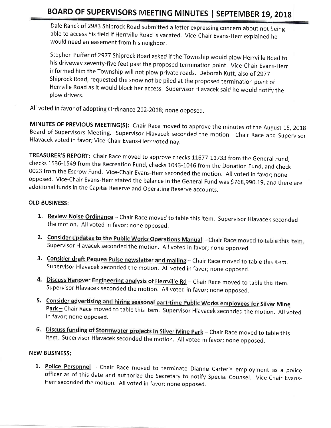Dale Ranck of 2983 Shiprock Road submitted a letter expressing concern about not being able to access his field if Herrville Road is vacated, Vice-Chair Evans-Herr explained he would need an easement from his neighbor.

Stephen Puffer of 2977 Shiprock Road asked if the Township would plow Herrville Road to his driveway seventy-five feet past the proposed termination point. Vice-Chair Evans-Herr informed him the Township will not plow private roads. Deborah Kutt, also of <sup>2977</sup> Shiprock Road, requested the snow not be piled at the proposed termination point of Herrville Road as it would block her access. Supervisor Hlavacek said he would notify the plow drivers.

All voted in favor of adopting Ordinance 212-2018; none opposed.

MINUTES OF PREVIOUS MEETING(S): Chair Race moved to approve the minutes of the August 15, 2018<br>Board of Supervisors Meeting. Supervisor Hlavacek seconded the motion. Chair Race and Supervisor Hlavacek voted in favor; Vice-Chair Evans-Herr voted nay.

TREASURER'S REPORT: Chair Race moved to approve checks 11677-11733 from the General Fund, checks 1536-1549 from the Recreation Fund, checks 1043-1046 from the Donation Fund, and check<br>0023 from the Escrow Fund. Vice-Chair Evans-Herr seconded the motion. All voted in favor; none opposed. Vice-Chair Evans-Herr stated the balance in the General Fund was \$768,990.19, and there are<br>additional funds in the Capital Reserve and Operating Reserve accounts.

#### OLD BUSINESS:

- 1. Review Noise Ordinance Chair Race moved to table this item. Supervisor Hlavacek seconded the motion. All voted in favor; none opposed.
- 2. Consider updates to the Public Works Operations Manual Chair Race moved to table this item. Supervisor Hlavacek seconded the motion. All voted in favor; none opposed.
- 3. Consider draft Pequea Pulse newsletter and mailing Chair Race moved to table this item. Supervisor Hlavacek seconded the motion. All voted in favor; none opposed.
- 4. Discuss Hanover Engineering analysis of Herrville Rd Chair Race moved to table this item. supervisor lllavacek seconded the motion. All voted in favor; none opposed.
- 5. Consider advertising and hiring seasonal part-time Public Works employees for Silver Mine Park - Chair Race moved to table this item. Supervisor Hlavacek seconded the motion. All voted in favor; none opposed.
- 6. Discuss funding of Stormwater projects in Silver Mine Park Chair Race moved to table this item. Supervisor Hlavacek seconded the motion. All voted in favor; none opposed.

#### NEW BUSINESS:

1. Police Personnel - Chair Race moved to terminate Dianne Carter's employment as a police officer as of this date and authorize the Secretary to notify Special Counsel. Vice-Chair Evans-<br>Herr seconded the motion. All vote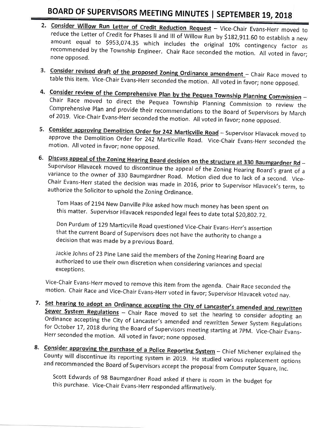- **2. Consider Willow Run Letter of Credit Reduction Request** Vice-Chair Evans-Herr moved to reduce the Letter of Credit for Phases II and III of Willow Run by \$182,911.60 to establish a new amount equal to \$953,074.35 wh none opposed.
- 3. Consider revised draft of the proposed Zoning Ordinance amendment Chair Race moved to table this item. Vice-Chair Evans-Herr seconded the motion. All voted in favor; none opposed.
- 4. Consider review of the Comprehensive Plan by the Pequea Township Planning Commission -<br>Chair Race moved to direct the Pequea Township Planning Commission to review the Comprehensive Plan and provide their recommendations to the Board of Supervisors by March of 2019. Vice-Chair Evans-Herr seconded the motion. All voted in favor; none opposed.
- approve the Demolition Order for 242 Marticville Road. Vice-Chair Evans-Herr seconded the 242 Marticville Road – Supervisor Hlavacek moved to motion. All voted in favor; none opposed.
- 6. Discuss appeal of the Zoning Hearing Board decision on the structure at 330 Baumgardner Rd -Supervisor Hlavacek moved to discontinue the appeal of the Zoning Hearing Board's grant of a variance to the owner of 330 Baumgardner Road. Motion died due to lack of a second. Vice-Chair Evans-Herr stated the decision was

Tom Haas of 2194 New Danville Pike asked how much money has been spent on this matter. Supervisor Hlavacek responded legal fees to date total \$20,802.72.

Don Purdum of 129 Marticville Road questioned Vice-Chair Evans-Herr's assertion that the current Board of Supervisors does not have the authority to change a decision that was made by a previous Board,

Jackie Johns of 23 Pine Lane said the members of the Zoning Hearing Board are authorized to use their own discretion when considering variances and special exceptions.

Vice-Chair Evans-Herr moved to remove this item from the agenda. Chair Race seconded the<br>motion. Chair Race and Vice-Chair Evans-Herr voted in favor; Supervisor Hlavacek voted nay.

- 7. Set hearing to adopt an Ordinance accepting the City of Lancaster's amended and rewritten see assiming to adopt an Ordinance accepting the City of Lancaster's amended and rewritten<br>Sewer System Regulations – Chair Race moved to set the hearing to consider adopting an Ordinance accepting the City of Lancaster's amended and rewritten Sewer System Regulations for October 17, 2018 during the Board of Supervisors meeting starting at 7PM, Vice-Chair Evans- Herr seconded the motion. All voted in favor; none opposed.
- 8. Consider approving the purchase of a Police Reporting System Chief Michener explained the County will discontinue its reporting system in 2019. He studied various replacement options and recommended the Board of Supervisors accept the proposal from Computer Square, Inc.

Scott Edwards of 98 Baumgardner Road asked if there is room in the budget for this purchase. Vice-Chair Evans-Herr responded affirmatively.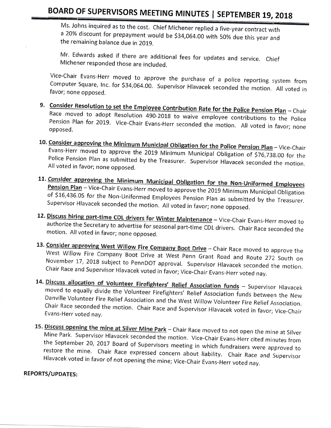Ms. Johns inquired as to the cost. Chief Michener replied a five-year contract with a 20% discount for prepayment would be \$34,064.00 with 50% due this year and the remaining balance due in 2019.

Mr. Edwards asked if there are additional fees for updates and service. Chief Michener responded those are included.

Vice-Chair Evans-Herr moved to approve the purchase of a police reporting system from Computer Square, Inc. for \$34,064.00. Supervisor Hlavacek seconded the motion. All voted in favor; none opposed.

- 9. Consider Resolution to set the Em Race moved to adopt Resolution 490-2018 to waive employee contributions to the Police Pension Plan for 2019. Vice-Chair Evans-Herr seconded the motion. All voted in favor; none opposed. bution Rate for the Police Pension Plan – Chair
- 10. Consider approving the Minimum Municipal Obligation for the Police Pension Plan Vice-Chair Evans-Herr moved to approve the 2019 Minimum Municipal Obligation of \$76,738.00 for the Police Pension Plan as submitted by the Treasurer. Supervisor Hlavacek seconded the motion. All voted in favor; none opposed.
- 11. <u>Consider</u> a **Employees** Pension Plan – Vice-Chair Evans-Herr moved to approve the 2019 Minimum Municipal Obligation<br>of \$16,436.05 for the Non-Uniformed Employees Pension Plan as submitted by the Treasurer.<br>Supervisor Hlavacek seconded the motion.
- 12. Discuss hiring part-time CDL drivers for Winter Maintenance Vice-Chair Evans-Herr moved to **EXERGE THING BATT-THING CDL AINERS FOR WINTER Maintenance** – Vice-Chair Evans-Herr moved to authorize the Secretary to advertise for seasonal part-time CDL drivers. Chair Pass states LL U addionze the secretary to advertise for seasonal part-time CDL drivers. Chair Race seconded the<br>motion. All voted in favor; none opposed.
- 13. Consider **Consider approving West Willow Fire Company Boot Drive** – Chair Race moved to approve the<br>West Willow Fire Company Boot Drive at West Penn Grant Bood and Burk 273, 3 November west Willow Fire Company Boot Drive at West Penn Grant Road and Route 272 South on<br>November 17, 2018 subject to PennDOT approval. Supervisor Hlavacek seconded the motion.<br>Chair Race and Supervisor Hlavacek voted in favor;
- 14. Discuss allocation of Volunteer Firefighters' Relief Association funds Supervisor Hlavacek<br>moved to equally divide the Volunteer Firefighters' Relief Association funds Supervisor Hlavacek moved to equally divide the Volunteer Firefighters' Relief Association funds between the New Danville Volunteer Fire Relief Association and the West Willow Volunteer Fire Relief Association. Chair Race seconded the motion. Chair Race and Supervisor Hlavacek voted in favor; Vice-Chair Evans-Herr voted nay.
- 15. Discuss opening the mine at Silver Mine Park Chair Race moved to not open the mine at Silver Mine Park. Supervisor Hlavacek seconded the motion. Vice-Chair Evans-Herr cited minutes from the September 20, 2017 Board of Supervisors meeting in which fundraisers were approved to restore the mine. Chair Race expressed concern about liability. Chair Race and Supervisor<br>Hlavacek voted in favor of not opening the mine; Vice-Chair Evans-Herr voted nay.

#### REPORTS/UPDATES: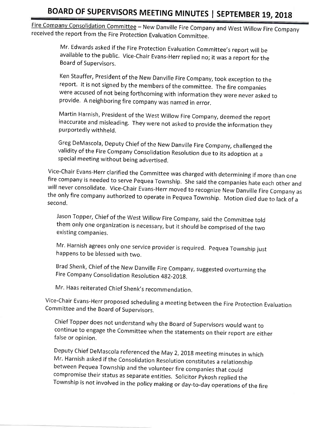Fire Company Consolidation Committee - New Danville Fire Company and West Willow Fire Company received the report from the Fire Protection Evaluation Committee.

Mr. Edwards asked if the Fire Protection Evaluation Committee's report will be available to the public. Vice-Chair Evans-Herr replied no; it was a report for the Board of Supervisors.

Ken Stauffer, President of the New Danville Fire Company, took exception to the report. It is not signed by the members of the committee. The fire companies were accused of not being forthcoming with information they were never asked to provide. A neighboring fire company was named in error.

Martin Harnish, President of the west willow Fire Company, deemed the report inaccurate and misleading. They were not asked to provide the information they purportedly withheld.

Greg DeMascola, Deputy Chief of the New Danville Fire Company, challenged the validity of the Fire Company Consolidation Resolution due to its adoption at a special meeting without being advertised.

Vice-Chair Evans-Herr clarified the Committee was charged with determining if more than one<br>fire company is needed to serve Pequea Township. She said the companies hate each other and<br>will never consolidate. Vice-Chair Eva second.

Jason Topper, Chief of the West Willow Fire Company, said the Committee told<br>them only one organization is necessary, but it should be comprised of the two existing companies.

Mr. Harnish agrees only one service provider is required. Pequea Township just happens to be blessed with two.

Brad Shenk, Chief of the New Danville Fire Company, suggested overturning the Fire Company Consolidation Resolution 482-2018.

Mr. Haas reiterated Chief Shenk's recommendation.

Vice-Chair Evans-Herr proposed scheduling a meeting between the Fire Protection Evaluation Committee and the Board of Supervisors.

Chief Topper does not understand why the Board of Supervisors would want to continue to engage the Committee when the statements on their report are either false or opinion.

Deputy Chief DeMascola referenced the May 2, 2018 meeting minutes in which<br>Mr. Harnish asked if the Consolidation Resolution constitutes a relationship between Pequea Township and the volunteer fire companies that could<br>compromise their status as separate entities. Solicitor Pykosh replied the Township is not involved in the policy making or day-to-day operations of the fire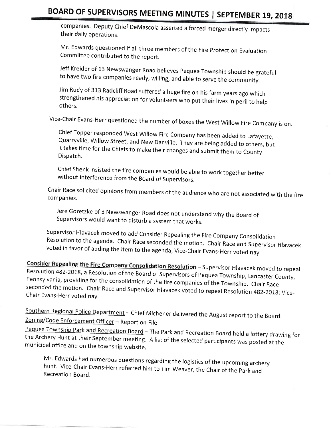companies. Deputy Chief DeMascola asserted a forced merger directly impacts their daily operations.

Mr. Edwards questioned if all three members of the Fire Protection Evaluation Committee contributed to the report.

Jeff Kreider of 13 Newswanger Road believes Pequea Township should be grateful<br>to have two fire companies ready, willing, and able to serve the community.

jim Rudy of 313 Radcliff Road suffered a huge fire on his farm years ago which strengthened his appreciation for volunteers who put their lives in peril to help others.

Vice-chair Evans-Herr questioned the number of boxes the west willow Fire company is on.

chief Topper responded west willow Fire company has been added to Lafayette, it takes time for the Chiefs to make their changes and submit them to County Dispatch.

Chief Shenk insisted the fire companies would be able to work together better without interference from the Board of Supervisors.

Chair Race solicited opinions from members of the audience who are not associated with the fire companies.

Jere Goretzke of 3 Newswanger Road does not understand why the Board of<br>Supervisors would want to disturb a system that works.

Supervisor Hlavacek moved to add Consider Repealing the Fire Company Consolidation<br>Resolution to the agenda. Chair Race seconded the motion. Chair Race and Supervisor Hlavacek<br>voted in favor of adding the item to the agend

**Consider Repealing the Fire Company Consolidation Resolution** – Supervisor Hlavacek moved to repeal Resolution 482-2018, a Resolution of the Board of Supervisors of Pequea Township, Lancaster County, Pennsylvania, providi

Southern Regional Police Department - Chief Michener delivered the August report to the Board.<br>Zoning/Code Enforcement Officer - Report on File

Pequea Township Park and Recreation Board - The Park and Recreation Board held a lottery drawing for<br>the Archery Hunt at their September meeting. A list of the selected participants was posted at the municipal office and on the township website.

Mr. Edwards had numerous questions regarding the logistics of the upcoming archery<br>hunt. Vice-Chair Evans-Herr referred him to Tim Weaver, the Chair of the Park and<br>Recreation Board,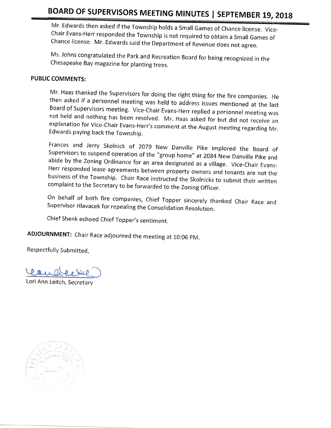Mr. Edwards then asked if the Township holds a Small Games of Chance license. Vice-<br>Chair Evans-Herr responded the Township is not required to obtain a Small Games of<br>Chance license. Mr. Edwards said the Department of Reve

Ms. Johns congratulated the Park and Recreation Board for being recognized in the Chesapeake Bay magazine for planting trees.

### PUBLIC COMMENTS:

Mr. Haas thanked the Supervisors for doing the right thing for the fire companies. He<br>then asked if a personnel meeting was held to address issues mentioned at the last<br>Board of Supervisors meeting. Vice-Chair Evans-Herr r

Frances and Jerry Skolnick of 2079 New Danville Pike implored the Board of Supervisors to suspend operation of the "group home" at 2084 New Danville Pike and abide by the Zoning Ordinance for an area designated as a villag

On behalf of both fire companies, Chief Topper sincerely thanked Chair Race and Supervisor Hlavacek for repealing the Consolidation Resolution.

Chief Shenk echoed Chief Topper's sentiment.

ADJOURNMENT: Chair Race adjourned the meeting at 10:06 PM.

Respectfully Submitted,

 $\rho$  a<sub> $\mu$ </sub>

Lori Ann Leitch, Secretary